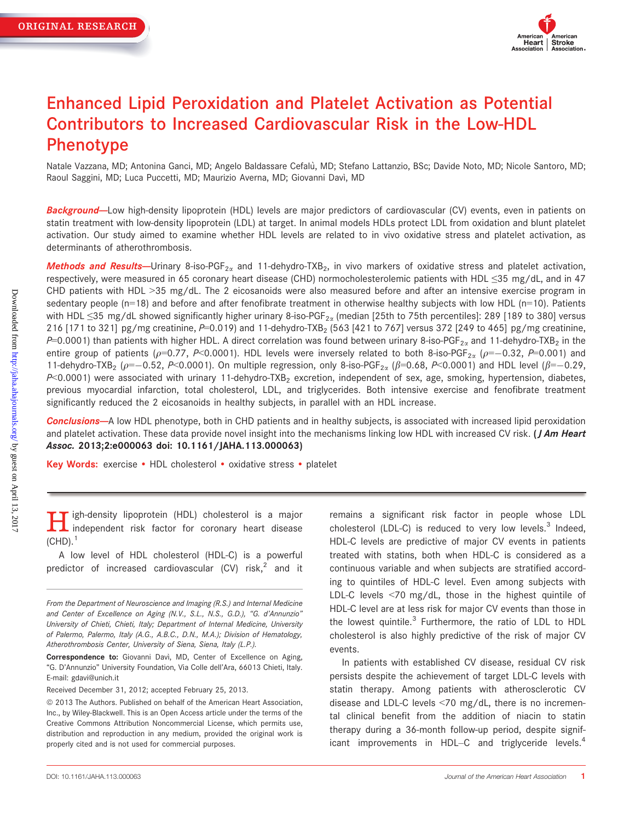

# Enhanced Lipid Peroxidation and Platelet Activation as Potential Contributors to Increased Cardiovascular Risk in the Low-HDL Phenotype

Natale Vazzana, MD; Antonina Ganci, MD; Angelo Baldassare Cefalù, MD; Stefano Lattanzio, BSc; Davide Noto, MD; Nicole Santoro, MD; Raoul Saggini, MD; Luca Puccetti, MD; Maurizio Averna, MD; Giovanni Davì, MD

Background-Low high-density lipoprotein (HDL) levels are major predictors of cardiovascular (CV) events, even in patients on statin treatment with low-density lipoprotein (LDL) at target. In animal models HDLs protect LDL from oxidation and blunt platelet activation. Our study aimed to examine whether HDL levels are related to in vivo oxidative stress and platelet activation, as determinants of atherothrombosis.

Methods and Results-Urinary 8-iso-PGF<sub>2 $\alpha$ </sub> and 11-dehydro-TXB<sub>2</sub>, in vivo markers of oxidative stress and platelet activation, respectively, were measured in 65 coronary heart disease (CHD) normocholesterolemic patients with HDL ≤35 mg/dL, and in 47 CHD patients with HDL >35 mg/dL. The 2 eicosanoids were also measured before and after an intensive exercise program in sedentary people  $(n=18)$  and before and after fenofibrate treatment in otherwise healthy subjects with low HDL  $(n=10)$ . Patients with HDL ≤35 mg/dL showed significantly higher urinary 8-iso-PGF<sub>2x</sub> (median [25th to 75th percentiles]: 289 [189 to 380] versus 216 [171 to 321] pg/mg creatinine,  $P=0.019$  and 11-dehydro-TXB<sub>2</sub> (563 [421 to 767] versus 372 [249 to 465] pg/mg creatinine, P=0.0001) than patients with higher HDL. A direct correlation was found between urinary 8-iso-PGF<sub>2 $\alpha$ </sub> and 11-dehydro-TXB<sub>2</sub> in the entire group of patients ( $\rho$ =0.77, P<0.0001). HDL levels were inversely related to both 8-iso-PGF<sub>2a</sub> ( $\rho$ =-0.32, P=0.001) and 11-dehydro-TXB<sub>2</sub> ( $\rho$ =-0.52, P<0.0001). On multiple regression, only 8-iso-PGF<sub>2a</sub> ( $\beta$ =0.68, P<0.0001) and HDL level ( $\beta$ =-0.29,  $P< 0.0001$ ) were associated with urinary 11-dehydro-TXB<sub>2</sub> excretion, independent of sex, age, smoking, hypertension, diabetes, previous myocardial infarction, total cholesterol, LDL, and triglycerides. Both intensive exercise and fenofibrate treatment significantly reduced the 2 eicosanoids in healthy subjects, in parallel with an HDL increase.

Conclusions--A low HDL phenotype, both in CHD patients and in healthy subjects, is associated with increased lipid peroxidation and platelet activation. These data provide novel insight into the mechanisms linking low HDL with increased CV risk. (*J Am Heart* Assoc. 2013;2:e000063 doi: 10.1161/JAHA.113.000063)

Key Words: exercise • HDL cholesterol • oxidative stress • platelet

igh-density lipoprotein (HDL) cholesterol is a major I independent risk factor for coronary heart disease  $(CHD).<sup>1</sup>$ 

A low level of HDL cholesterol (HDL-C) is a powerful predictor of increased cardiovascular  $(CV)$  risk,<sup>2</sup> and it

Received December 31, 2012; accepted February 25, 2013.

remains a significant risk factor in people whose LDL cholesterol (LDL-C) is reduced to very low levels.<sup>3</sup> Indeed, HDL-C levels are predictive of major CV events in patients treated with statins, both when HDL-C is considered as a continuous variable and when subjects are stratified according to quintiles of HDL-C level. Even among subjects with LDL-C levels <70 mg/dL, those in the highest quintile of HDL-C level are at less risk for major CV events than those in the lowest quintile.<sup>3</sup> Furthermore, the ratio of LDL to HDL cholesterol is also highly predictive of the risk of major CV events.

In patients with established CV disease, residual CV risk persists despite the achievement of target LDL-C levels with statin therapy. Among patients with atherosclerotic CV disease and LDL-C levels <70 mg/dL, there is no incremental clinical benefit from the addition of niacin to statin therapy during a 36-month follow-up period, despite significant improvements in HDL–C and triglyceride levels. $4$ 

From the Department of Neuroscience and Imaging (R.S.) and Internal Medicine and Center of Excellence on Aging (N.V., S.L., N.S., G.D.), "G. d'Annunzio" University of Chieti, Chieti, Italy; Department of Internal Medicine, University of Palermo, Palermo, Italy (A.G., A.B.C., D.N., M.A.); Division of Hematology, Atherothrombosis Center, University of Siena, Siena, Italy (L.P.).

Correspondence to: Giovanni Davì, MD, Center of Excellence on Aging, "G. D'Annunzio" University Foundation, Via Colle dell'Ara, 66013 Chieti, Italy. E-mail: gdavi@unich.it

 $©$  2013 The Authors. Published on behalf of the American Heart Association, Inc., by Wiley-Blackwell. This is an Open Access article under the terms of the Creative Commons Attribution Noncommercial License, which permits use, distribution and reproduction in any medium, provided the original work is properly cited and is not used for commercial purposes.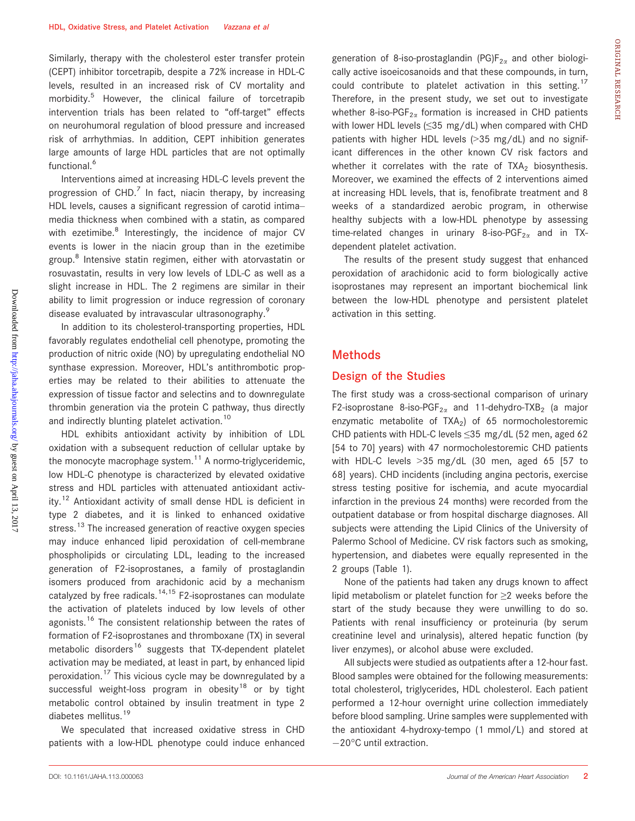Similarly, therapy with the cholesterol ester transfer protein (CEPT) inhibitor torcetrapib, despite a 72% increase in HDL-C levels, resulted in an increased risk of CV mortality and morbidity.<sup>5</sup> However, the clinical failure of torcetrapib intervention trials has been related to "off-target" effects on neurohumoral regulation of blood pressure and increased risk of arrhythmias. In addition, CEPT inhibition generates large amounts of large HDL particles that are not optimally functional.<sup>6</sup>

Interventions aimed at increasing HDL-C levels prevent the progression of  $CHD<sup>7</sup>$  In fact, niacin therapy, by increasing HDL levels, causes a significant regression of carotid intima– media thickness when combined with a statin, as compared with ezetimibe.<sup>8</sup> Interestingly, the incidence of major CV events is lower in the niacin group than in the ezetimibe group.<sup>8</sup> Intensive statin regimen, either with atorvastatin or rosuvastatin, results in very low levels of LDL-C as well as a slight increase in HDL. The 2 regimens are similar in their ability to limit progression or induce regression of coronary disease evaluated by intravascular ultrasonography.<sup>9</sup>

In addition to its cholesterol-transporting properties, HDL favorably regulates endothelial cell phenotype, promoting the production of nitric oxide (NO) by upregulating endothelial NO synthase expression. Moreover, HDL's antithrombotic properties may be related to their abilities to attenuate the expression of tissue factor and selectins and to downregulate thrombin generation via the protein C pathway, thus directly and indirectly blunting platelet activation.<sup>10</sup>

HDL exhibits antioxidant activity by inhibition of LDL oxidation with a subsequent reduction of cellular uptake by the monocyte macrophage system. $11$  A normo-triglyceridemic, low HDL-C phenotype is characterized by elevated oxidative stress and HDL particles with attenuated antioxidant activity.<sup>12</sup> Antioxidant activity of small dense HDL is deficient in type 2 diabetes, and it is linked to enhanced oxidative stress.<sup>13</sup> The increased generation of reactive oxygen species may induce enhanced lipid peroxidation of cell-membrane phospholipids or circulating LDL, leading to the increased generation of F2-isoprostanes, a family of prostaglandin isomers produced from arachidonic acid by a mechanism catalyzed by free radicals.<sup>14,15</sup> F2-isoprostanes can modulate the activation of platelets induced by low levels of other agonists.<sup>16</sup> The consistent relationship between the rates of formation of F2-isoprostanes and thromboxane (TX) in several metabolic disorders<sup>16</sup> suggests that TX-dependent platelet activation may be mediated, at least in part, by enhanced lipid peroxidation.<sup>17</sup> This vicious cycle may be downregulated by a successful weight-loss program in obesity<sup>18</sup> or by tight metabolic control obtained by insulin treatment in type 2 diabetes mellitus.<sup>19</sup>

We speculated that increased oxidative stress in CHD patients with a low-HDL phenotype could induce enhanced

generation of 8-iso-prostaglandin (PG) $F_{2\alpha}$  and other biologically active isoeicosanoids and that these compounds, in turn, could contribute to platelet activation in this setting.<sup>17</sup> Therefore, in the present study, we set out to investigate whether 8-iso-PGF<sub>2 $\alpha$ </sub> formation is increased in CHD patients with lower HDL levels (≤35 mg/dL) when compared with CHD patients with higher HDL levels (>35 mg/dL) and no significant differences in the other known CV risk factors and whether it correlates with the rate of  $TXA<sub>2</sub>$  biosynthesis. Moreover, we examined the effects of 2 interventions aimed at increasing HDL levels, that is, fenofibrate treatment and 8 weeks of a standardized aerobic program, in otherwise healthy subjects with a low-HDL phenotype by assessing time-related changes in urinary 8-iso-PGF<sub>2 $\alpha$ </sub> and in TXdependent platelet activation.

The results of the present study suggest that enhanced peroxidation of arachidonic acid to form biologically active isoprostanes may represent an important biochemical link between the low-HDL phenotype and persistent platelet activation in this setting.

#### Methods

## Design of the Studies

The first study was a cross-sectional comparison of urinary F2-isoprostane 8-iso-PGF<sub>2 $\alpha$ </sub> and 11-dehydro-TXB<sub>2</sub> (a major enzymatic metabolite of  $TXA_2$ ) of 65 normocholestoremic CHD patients with HDL-C levels ≤35 mg/dL (52 men, aged 62 [54 to 70] years) with 47 normocholestoremic CHD patients with HDL-C levels >35 mg/dL (30 men, aged 65 [57 to 68] years). CHD incidents (including angina pectoris, exercise stress testing positive for ischemia, and acute myocardial infarction in the previous 24 months) were recorded from the outpatient database or from hospital discharge diagnoses. All subjects were attending the Lipid Clinics of the University of Palermo School of Medicine. CV risk factors such as smoking, hypertension, and diabetes were equally represented in the 2 groups (Table 1).

None of the patients had taken any drugs known to affect lipid metabolism or platelet function for ≥2 weeks before the start of the study because they were unwilling to do so. Patients with renal insufficiency or proteinuria (by serum creatinine level and urinalysis), altered hepatic function (by liver enzymes), or alcohol abuse were excluded.

All subjects were studied as outpatients after a 12-hour fast. Blood samples were obtained for the following measurements: total cholesterol, triglycerides, HDL cholesterol. Each patient performed a 12-hour overnight urine collection immediately before blood sampling. Urine samples were supplemented with the antioxidant 4-hydroxy-tempo (1 mmol/L) and stored at -20°C until extraction.

ORIGINAL

RESEARCH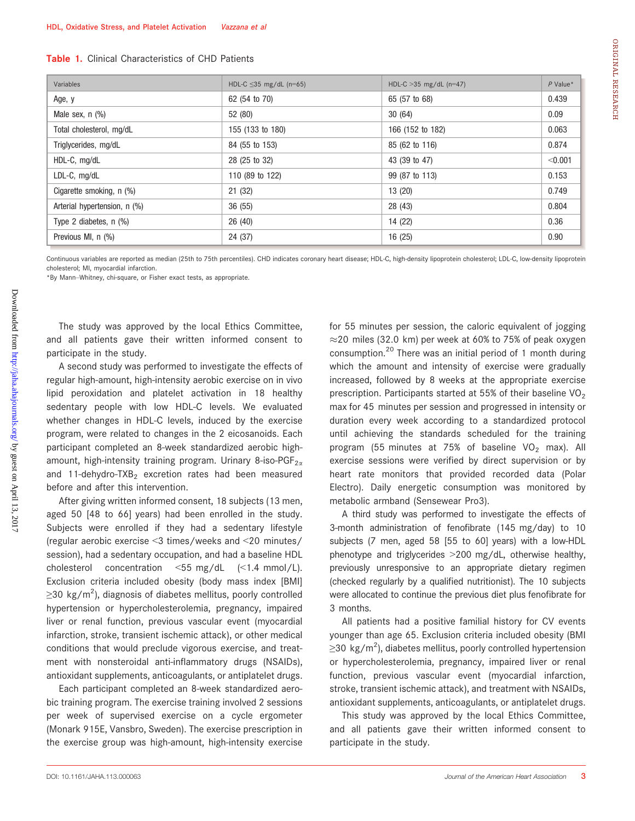| <b>Table 1.</b> Clinical Characteristics of CHD Patients |
|----------------------------------------------------------|
|----------------------------------------------------------|

| Variables                    | HDL-C $\leq$ 35 mg/dL (n=65) | HDL-C $>35$ mg/dL (n=47) | $P$ Value* |
|------------------------------|------------------------------|--------------------------|------------|
| Age, y                       | 62 (54 to 70)                | 65 (57 to 68)            | 0.439      |
| Male sex, n (%)              | 52 (80)                      | 30(64)                   | 0.09       |
| Total cholesterol, mg/dL     | 155 (133 to 180)             | 166 (152 to 182)         | 0.063      |
| Triglycerides, mg/dL         | 84 (55 to 153)               | 85 (62 to 116)           | 0.874      |
| HDL-C, mg/dL                 | 28 (25 to 32)                | 43 (39 to 47)            | < 0.001    |
| LDL-C, mg/dL                 | 110 (89 to 122)              | 99 (87 to 113)           | 0.153      |
| Cigarette smoking, n (%)     | 21(32)                       | 13 (20)                  | 0.749      |
| Arterial hypertension, n (%) | 36(55)                       | 28 (43)                  | 0.804      |
| Type 2 diabetes, $n$ $(\%)$  | 26(40)                       | 14 (22)                  | 0.36       |
| Previous MI, n (%)           | 24 (37)                      | 16(25)                   | 0.90       |

Continuous variables are reported as median (25th to 75th percentiles). CHD indicates coronary heart disease; HDL-C, ligh-density lipoprotein cholesterol; LDL-C, low-density lipoprotein cholesterol; MI, myocardial infarction.

\*By Mann–Whitney, chi-square, or Fisher exact tests, as appropriate.

The study was approved by the local Ethics Committee, and all patients gave their written informed consent to participate in the study.

A second study was performed to investigate the effects of regular high-amount, high-intensity aerobic exercise on in vivo lipid peroxidation and platelet activation in 18 healthy sedentary people with low HDL-C levels. We evaluated whether changes in HDL-C levels, induced by the exercise program, were related to changes in the 2 eicosanoids. Each participant completed an 8-week standardized aerobic highamount, high-intensity training program. Urinary 8-iso-PGF<sub>2 $\alpha$ </sub> and 11-dehydro-TXB<sub>2</sub> excretion rates had been measured before and after this intervention.

After giving written informed consent, 18 subjects (13 men, aged 50 [48 to 66] years) had been enrolled in the study. Subjects were enrolled if they had a sedentary lifestyle (regular aerobic exercise <3 times/weeks and <20 minutes/ session), had a sedentary occupation, and had a baseline HDL cholesterol concentration  $\leq 55$  mg/dL  $\leq 1.4$  mmol/L). Exclusion criteria included obesity (body mass index [BMI]  $\geq$ 30 kg/m<sup>2</sup>), diagnosis of diabetes mellitus, poorly controlled hypertension or hypercholesterolemia, pregnancy, impaired liver or renal function, previous vascular event (myocardial infarction, stroke, transient ischemic attack), or other medical conditions that would preclude vigorous exercise, and treatment with nonsteroidal anti-inflammatory drugs (NSAIDs), antioxidant supplements, anticoagulants, or antiplatelet drugs.

Each participant completed an 8-week standardized aerobic training program. The exercise training involved 2 sessions per week of supervised exercise on a cycle ergometer (Monark 915E, Vansbro, Sweden). The exercise prescription in the exercise group was high-amount, high-intensity exercise

for 55 minutes per session, the caloric equivalent of jogging  $\approx$  20 miles (32.0 km) per week at 60% to 75% of peak oxygen consumption.<sup>20</sup> There was an initial period of 1 month during which the amount and intensity of exercise were gradually increased, followed by 8 weeks at the appropriate exercise prescription. Participants started at 55% of their baseline  $VO<sub>2</sub>$ max for 45 minutes per session and progressed in intensity or duration every week according to a standardized protocol until achieving the standards scheduled for the training program (55 minutes at 75% of baseline VO<sub>2</sub> max). All exercise sessions were verified by direct supervision or by heart rate monitors that provided recorded data (Polar Electro). Daily energetic consumption was monitored by metabolic armband (Sensewear Pro3).

A third study was performed to investigate the effects of 3-month administration of fenofibrate (145 mg/day) to 10 subjects (7 men, aged 58 [55 to 60] years) with a low-HDL phenotype and triglycerides >200 mg/dL, otherwise healthy, previously unresponsive to an appropriate dietary regimen (checked regularly by a qualified nutritionist). The 10 subjects were allocated to continue the previous diet plus fenofibrate for 3 months.

All patients had a positive familial history for CV events younger than age 65. Exclusion criteria included obesity (BMI  $\geq$ 30 kg/m<sup>2</sup>), diabetes mellitus, poorly controlled hypertension or hypercholesterolemia, pregnancy, impaired liver or renal function, previous vascular event (myocardial infarction, stroke, transient ischemic attack), and treatment with NSAIDs, antioxidant supplements, anticoagulants, or antiplatelet drugs.

This study was approved by the local Ethics Committee, and all patients gave their written informed consent to participate in the study.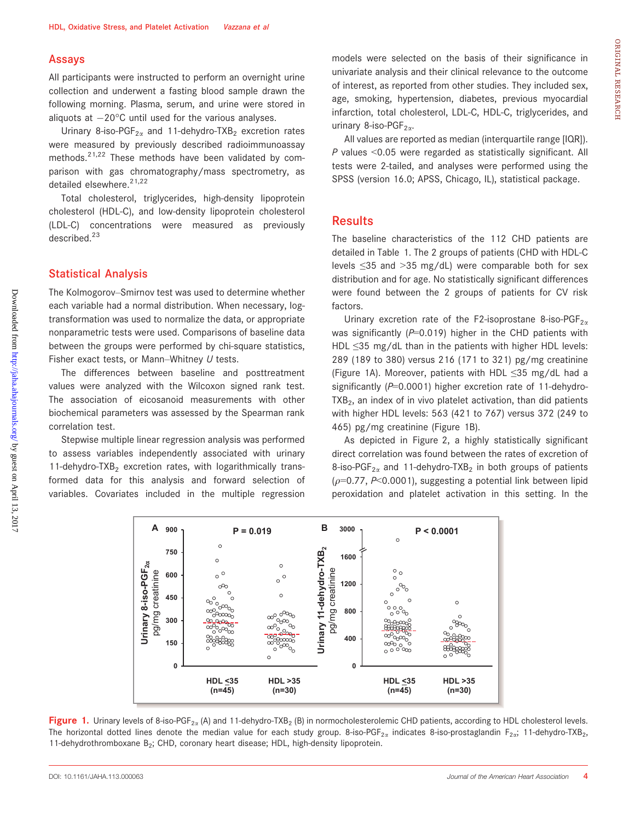#### Assays

All participants were instructed to perform an overnight urine collection and underwent a fasting blood sample drawn the following morning. Plasma, serum, and urine were stored in aliquots at  $-20^{\circ}$ C until used for the various analyses.

Urinary 8-iso-PGF<sub>2 $\alpha$ </sub> and 11-dehydro-TXB<sub>2</sub> excretion rates were measured by previously described radioimmunoassay methods. $2^{1,22}$  These methods have been validated by comparison with gas chromatography/mass spectrometry, as detailed elsewhere.<sup>21,22</sup>

Total cholesterol, triglycerides, high-density lipoprotein cholesterol (HDL-C), and low-density lipoprotein cholesterol (LDL-C) concentrations were measured as previously described.<sup>23</sup>

#### Statistical Analysis

The Kolmogorov–Smirnov test was used to determine whether each variable had a normal distribution. When necessary, logtransformation was used to normalize the data, or appropriate nonparametric tests were used. Comparisons of baseline data between the groups were performed by chi-square statistics, Fisher exact tests, or Mann–Whitney  $U$  tests.

The differences between baseline and posttreatment values were analyzed with the Wilcoxon signed rank test. The association of eicosanoid measurements with other biochemical parameters was assessed by the Spearman rank correlation test.

Stepwise multiple linear regression analysis was performed to assess variables independently associated with urinary 11-dehydro-TXB<sub>2</sub> excretion rates, with logarithmically transformed data for this analysis and forward selection of variables. Covariates included in the multiple regression

models were selected on the basis of their significance in univariate analysis and their clinical relevance to the outcome of interest, as reported from other studies. They included sex, age, smoking, hypertension, diabetes, previous myocardial infarction, total cholesterol, LDL-C, HDL-C, triglycerides, and urinary 8-iso-PGF $_{2\alpha}$ .

All values are reported as median (interquartile range [IQR]).  $P$  values <0.05 were regarded as statistically significant. All tests were 2-tailed, and analyses were performed using the SPSS (version 16.0; APSS, Chicago, IL), statistical package.

#### **Results**

The baseline characteristics of the 112 CHD patients are detailed in Table 1. The 2 groups of patients (CHD with HDL-C levels ≤35 and >35 mg/dL) were comparable both for sex distribution and for age. No statistically significant differences were found between the 2 groups of patients for CV risk factors.

Urinary excretion rate of the F2-isoprostane 8-iso-PGF<sub>2 $\alpha$ </sub> was significantly ( $P=0.019$ ) higher in the CHD patients with HDL ≤35 mg/dL than in the patients with higher HDL levels: 289 (189 to 380) versus 216 (171 to 321) pg/mg creatinine (Figure 1A). Moreover, patients with HDL ≤35 mg/dL had a significantly ( $P=0.0001$ ) higher excretion rate of 11-dehydro- $TXB<sub>2</sub>$ , an index of in vivo platelet activation, than did patients with higher HDL levels: 563 (421 to 767) versus 372 (249 to 465) pg/mg creatinine (Figure 1B).

As depicted in Figure 2, a highly statistically significant direct correlation was found between the rates of excretion of 8-iso-PGF<sub>2 $\alpha$ </sub> and 11-dehydro-TXB<sub>2</sub> in both groups of patients ( $\rho$ =0.77, P<0.0001), suggesting a potential link between lipid peroxidation and platelet activation in this setting. In the



Figure 1. Urinary levels of 8-iso-PGF<sub>2x</sub> (A) and 11-dehydro-TXB<sub>2</sub> (B) in normocholesterolemic CHD patients, according to HDL cholesterol levels. The horizontal dotted lines denote the median value for each study group. 8-iso-PGF<sub>2x</sub> indicates 8-iso-prostaglandin F<sub>2a</sub>; 11-dehydro-TXB<sub>2</sub>, 11-dehydrothromboxane  $B_2$ ; CHD, coronary heart disease; HDL, high-density lipoprotein.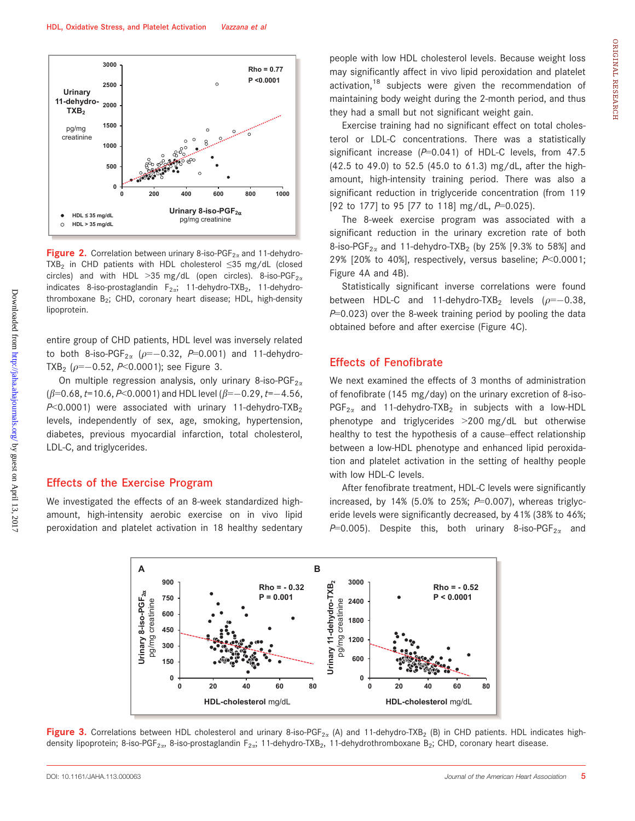

**Figure 2.** Correlation between urinary 8-iso-PGF<sub>2 $\alpha$ </sub> and 11-dehydro-TXB<sub>2</sub> in CHD patients with HDL cholesterol  $\leq$ 35 mg/dL (closed circles) and with HDL > 35 mg/dL (open circles). 8-iso-PGF<sub>2a</sub> indicates 8-iso-prostaglandin  $F_{2\alpha}$ ; 11-dehydro-TXB<sub>2</sub>, 11-dehydrothromboxane  $B_2$ ; CHD, coronary heart disease; HDL, high-density lipoprotein.

entire group of CHD patients, HDL level was inversely related to both 8-iso-PGF<sub>2 $\alpha$ </sub> ( $\rho=-0.32$ , P=0.001) and 11-dehydro-TXB<sub>2</sub> ( $\rho = -0.52$ , P<0.0001); see Figure 3.

On multiple regression analysis, only urinary 8-iso-PGF<sub>2 $\alpha$ </sub>  $(\beta=0.68, t=10.6, P<0.0001)$  and HDL level  $(\beta=-0.29, t=-4.56,$  $P<0.0001$ ) were associated with urinary 11-dehydro-TXB<sub>2</sub> levels, independently of sex, age, smoking, hypertension, diabetes, previous myocardial infarction, total cholesterol, LDL-C, and triglycerides.

#### Effects of the Exercise Program

We investigated the effects of an 8-week standardized highamount, high-intensity aerobic exercise on in vivo lipid peroxidation and platelet activation in 18 healthy sedentary people with low HDL cholesterol levels. Because weight loss may significantly affect in vivo lipid peroxidation and platelet activation,<sup>18</sup> subjects were given the recommendation of maintaining body weight during the 2-month period, and thus they had a small but not significant weight gain.

Exercise training had no significant effect on total cholesterol or LDL-C concentrations. There was a statistically significant increase ( $P=0.041$ ) of HDL-C levels, from 47.5 (42.5 to 49.0) to 52.5 (45.0 to 61.3) mg/dL, after the highamount, high-intensity training period. There was also a significant reduction in triglyceride concentration (from 119 [92 to 177] to 95 [77 to 118] mg/dL, P=0.025).

The 8-week exercise program was associated with a significant reduction in the urinary excretion rate of both 8-iso-PGF<sub>2 $\alpha$ </sub> and 11-dehydro-TXB<sub>2</sub> (by 25% [9.3% to 58%] and 29% [20% to 40%], respectively, versus baseline;  $P<0.0001$ ; Figure 4A and 4B).

Statistically significant inverse correlations were found between HDL-C and 11-dehydro-TXB<sub>2</sub> levels ( $\rho = -0.38$ ,  $P=0.023$ ) over the 8-week training period by pooling the data obtained before and after exercise (Figure 4C).

## Effects of Fenofibrate

We next examined the effects of 3 months of administration of fenofibrate (145 mg/day) on the urinary excretion of 8-iso- $PGF_{2\alpha}$  and 11-dehydro-TXB<sub>2</sub> in subjects with a low-HDL phenotype and triglycerides >200 mg/dL but otherwise healthy to test the hypothesis of a cause–effect relationship between a low-HDL phenotype and enhanced lipid peroxidation and platelet activation in the setting of healthy people with low HDL-C levels.

After fenofibrate treatment, HDL-C levels were significantly increased, by 14% (5.0% to 25%;  $P=0.007$ ), whereas triglyceride levels were significantly decreased, by 41% (38% to 46%;  $P=0.005$ ). Despite this, both urinary 8-iso-PGF<sub>2 $\alpha$ </sub> and



Figure 3. Correlations between HDL cholesterol and urinary 8-iso-PGF<sub>2x</sub> (A) and 11-dehydro-TXB<sub>2</sub> (B) in CHD patients. HDL indicates highdensity lipoprotein; 8-iso-PGF<sub>2a</sub>, 8-iso-prostaglandin F<sub>2a</sub>; 11-dehydro-TXB<sub>2</sub>, 11-dehydrothromboxane B<sub>2</sub>; CHD, coronary heart disease.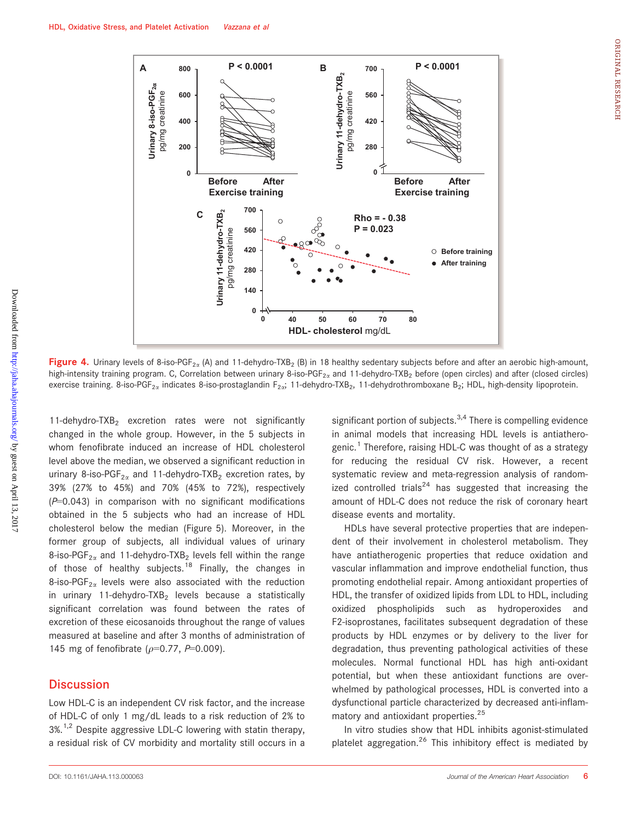

Figure 4. Urinary levels of 8-iso-PGF<sub>2x</sub> (A) and 11-dehydro-TXB<sub>2</sub> (B) in 18 healthy sedentary subjects before and after an aerobic high-amount, high-intensity training program. C, Correlation between urinary 8-iso-PGF<sub>2a</sub> and 11-dehydro-TXB<sub>2</sub> before (open circles) and after (closed circles) exercise training. 8-iso-PGF<sub>2x</sub> indicates 8-iso-prostaglandin F<sub>2x</sub>; 11-dehydro-TXB<sub>2</sub>, 11-dehydrothromboxane B<sub>2</sub>; HDL, high-density lipoprotein.

11-dehydro-TXB<sub>2</sub> excretion rates were not significantly changed in the whole group. However, in the 5 subjects in whom fenofibrate induced an increase of HDL cholesterol level above the median, we observed a significant reduction in urinary 8-iso-PGF<sub>2 $\alpha$ </sub> and 11-dehydro-TXB<sub>2</sub> excretion rates, by 39% (27% to 45%) and 70% (45% to 72%), respectively  $(P=0.043)$  in comparison with no significant modifications obtained in the 5 subjects who had an increase of HDL cholesterol below the median (Figure 5). Moreover, in the former group of subjects, all individual values of urinary 8-iso-PGF<sub>2 $\alpha$ </sub> and 11-dehydro-TXB<sub>2</sub> levels fell within the range of those of healthy subjects.<sup>18</sup> Finally, the changes in 8-iso-PGF<sub>2 $\alpha$ </sub> levels were also associated with the reduction in urinary 11-dehydro-TXB<sub>2</sub> levels because a statistically significant correlation was found between the rates of excretion of these eicosanoids throughout the range of values measured at baseline and after 3 months of administration of 145 mg of fenofibrate ( $\rho$ =0.77, P=0.009).

## **Discussion**

Low HDL-C is an independent CV risk factor, and the increase of HDL-C of only 1 mg/dL leads to a risk reduction of 2% to  $3\%$ .<sup>1,2</sup> Despite aggressive LDL-C lowering with statin therapy, a residual risk of CV morbidity and mortality still occurs in a

significant portion of subjects. $3,4$  There is compelling evidence in animal models that increasing HDL levels is antiatherogenic.<sup>1</sup> Therefore, raising HDL-C was thought of as a strategy for reducing the residual CV risk. However, a recent systematic review and meta-regression analysis of randomized controlled trials<sup>24</sup> has suggested that increasing the amount of HDL-C does not reduce the risk of coronary heart disease events and mortality.

HDLs have several protective properties that are independent of their involvement in cholesterol metabolism. They have antiatherogenic properties that reduce oxidation and vascular inflammation and improve endothelial function, thus promoting endothelial repair. Among antioxidant properties of HDL, the transfer of oxidized lipids from LDL to HDL, including oxidized phospholipids such as hydroperoxides and F2-isoprostanes, facilitates subsequent degradation of these products by HDL enzymes or by delivery to the liver for degradation, thus preventing pathological activities of these molecules. Normal functional HDL has high anti-oxidant potential, but when these antioxidant functions are overwhelmed by pathological processes, HDL is converted into a dysfunctional particle characterized by decreased anti-inflammatory and antioxidant properties.<sup>25</sup>

In vitro studies show that HDL inhibits agonist-stimulated platelet aggregation.<sup>26</sup> This inhibitory effect is mediated by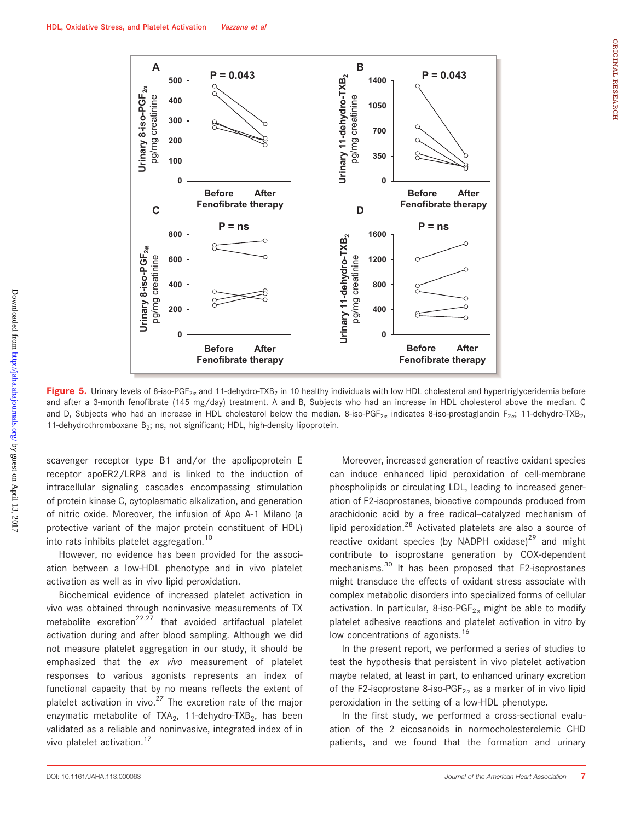

Figure 5. Urinary levels of 8-iso-PGF<sub>2x</sub> and 11-dehydro-TXB<sub>2</sub> in 10 healthy individuals with low HDL cholesterol and hypertriglyceridemia before and after a 3-month fenofibrate (145 mg/day) treatment. A and B, Subjects who had an increase in HDL cholesterol above the median. C and D, Subjects who had an increase in HDL cholesterol below the median. 8-iso-PGF<sub>2x</sub> indicates 8-iso-prostaglandin F<sub>2x</sub>; 11-dehydro-TXB<sub>2</sub>, 11-dehydrothromboxane B<sub>2</sub>; ns, not significant; HDL, high-density lipoprotein.

scavenger receptor type B1 and/or the apolipoprotein E receptor apoER2/LRP8 and is linked to the induction of intracellular signaling cascades encompassing stimulation of protein kinase C, cytoplasmatic alkalization, and generation of nitric oxide. Moreover, the infusion of Apo A-1 Milano (a protective variant of the major protein constituent of HDL) into rats inhibits platelet aggregation.<sup>10</sup>

However, no evidence has been provided for the association between a low-HDL phenotype and in vivo platelet activation as well as in vivo lipid peroxidation.

Biochemical evidence of increased platelet activation in vivo was obtained through noninvasive measurements of TX metabolite excretion<sup>22,27</sup> that avoided artifactual platelet activation during and after blood sampling. Although we did not measure platelet aggregation in our study, it should be emphasized that the ex vivo measurement of platelet responses to various agonists represents an index of functional capacity that by no means reflects the extent of platelet activation in vivo.<sup>27</sup> The excretion rate of the major enzymatic metabolite of  $TXA_2$ , 11-dehydro-TXB<sub>2</sub>, has been validated as a reliable and noninvasive, integrated index of in vivo platelet activation.<sup>17</sup>

Moreover, increased generation of reactive oxidant species can induce enhanced lipid peroxidation of cell-membrane phospholipids or circulating LDL, leading to increased generation of F2-isoprostanes, bioactive compounds produced from arachidonic acid by a free radical–catalyzed mechanism of lipid peroxidation.<sup>28</sup> Activated platelets are also a source of reactive oxidant species (by NADPH oxidase)<sup>29</sup> and might contribute to isoprostane generation by COX-dependent mechanisms.<sup>30</sup> It has been proposed that F2-isoprostanes might transduce the effects of oxidant stress associate with complex metabolic disorders into specialized forms of cellular activation. In particular, 8-iso-PGF $_{2\alpha}$  might be able to modify platelet adhesive reactions and platelet activation in vitro by low concentrations of agonists.<sup>16</sup>

In the present report, we performed a series of studies to test the hypothesis that persistent in vivo platelet activation maybe related, at least in part, to enhanced urinary excretion of the F2-isoprostane 8-iso-PGF<sub>2 $\alpha$ </sub> as a marker of in vivo lipid peroxidation in the setting of a low-HDL phenotype.

In the first study, we performed a cross-sectional evaluation of the 2 eicosanoids in normocholesterolemic CHD patients, and we found that the formation and urinary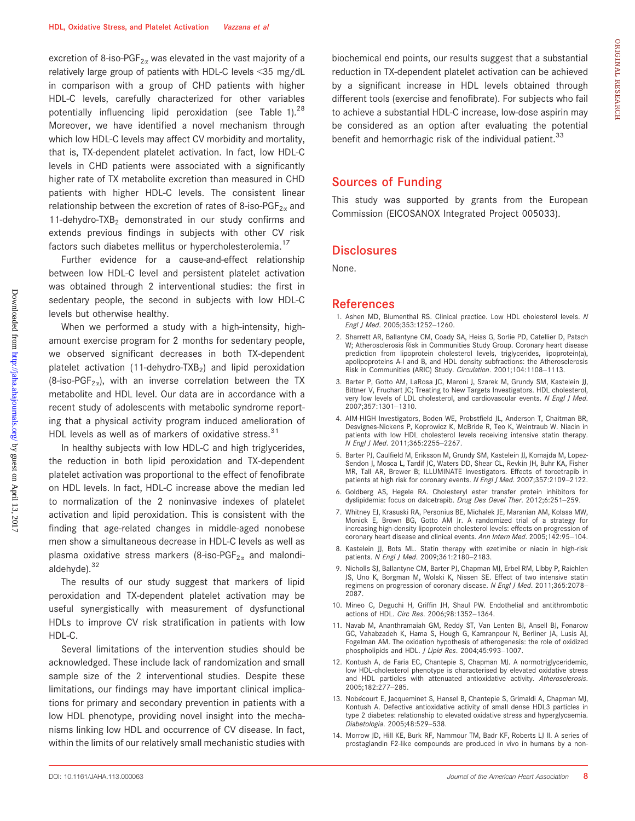excretion of 8-iso-PGF<sub>2 $\alpha$ </sub> was elevated in the vast majority of a relatively large group of patients with HDL-C levels <35 mg/dL in comparison with a group of CHD patients with higher HDL-C levels, carefully characterized for other variables potentially influencing lipid peroxidation (see Table 1).<sup>28</sup> Moreover, we have identified a novel mechanism through which low HDL-C levels may affect CV morbidity and mortality, that is, TX-dependent platelet activation. In fact, low HDL-C levels in CHD patients were associated with a significantly higher rate of TX metabolite excretion than measured in CHD patients with higher HDL-C levels. The consistent linear relationship between the excretion of rates of 8-iso-PGF<sub>2a</sub> and 11-dehydro-TXB<sub>2</sub> demonstrated in our study confirms and extends previous findings in subjects with other CV risk factors such diabetes mellitus or hypercholesterolemia.<sup>17</sup>

Further evidence for a cause-and-effect relationship between low HDL-C level and persistent platelet activation was obtained through 2 interventional studies: the first in sedentary people, the second in subjects with low HDL-C levels but otherwise healthy.

When we performed a study with a high-intensity, highamount exercise program for 2 months for sedentary people, we observed significant decreases in both TX-dependent platelet activation (11-dehydro-TXB<sub>2</sub>) and lipid peroxidation (8-iso-PGF<sub>2 $\alpha$ </sub>), with an inverse correlation between the TX metabolite and HDL level. Our data are in accordance with a recent study of adolescents with metabolic syndrome reporting that a physical activity program induced amelioration of HDL levels as well as of markers of oxidative stress. $31$ 

In healthy subjects with low HDL-C and high triglycerides, the reduction in both lipid peroxidation and TX-dependent platelet activation was proportional to the effect of fenofibrate on HDL levels. In fact, HDL-C increase above the median led to normalization of the 2 noninvasive indexes of platelet activation and lipid peroxidation. This is consistent with the finding that age-related changes in middle-aged nonobese men show a simultaneous decrease in HDL-C levels as well as plasma oxidative stress markers (8-iso-PGF<sub>2 $\alpha$ </sub> and malondialdehyde).<sup>32</sup>

The results of our study suggest that markers of lipid peroxidation and TX-dependent platelet activation may be useful synergistically with measurement of dysfunctional HDLs to improve CV risk stratification in patients with low HDL-C.

Several limitations of the intervention studies should be acknowledged. These include lack of randomization and small sample size of the 2 interventional studies. Despite these limitations, our findings may have important clinical implications for primary and secondary prevention in patients with a low HDL phenotype, providing novel insight into the mechanisms linking low HDL and occurrence of CV disease. In fact, within the limits of our relatively small mechanistic studies with biochemical end points, our results suggest that a substantial reduction in TX-dependent platelet activation can be achieved by a significant increase in HDL levels obtained through different tools (exercise and fenofibrate). For subjects who fail to achieve a substantial HDL-C increase, low-dose aspirin may be considered as an option after evaluating the potential benefit and hemorrhagic risk of the individual patient.<sup>33</sup>

## Sources of Funding

This study was supported by grants from the European Commission (EICOSANOX Integrated Project 005033).

## **Disclosures**

None.

#### References

- 1. Ashen MD, Blumenthal RS. Clinical practice. Low HDL cholesterol levels. N Engl J Med. 2005;353:1252–1260.
- 2. Sharrett AR, Ballantyne CM, Coady SA, Heiss G, Sorlie PD, Catellier D, Patsch W; Atherosclerosis Risk in Communities Study Group. Coronary heart disease prediction from lipoprotein cholesterol levels, triglycerides, lipoprotein(a), apolipoproteins A-I and B, and HDL density subfractions: the Atherosclerosis Risk in Communities (ARIC) Study. Circulation. 2001;104:1108–1113.
- 3. Barter P, Gotto AM, LaRosa JC, Maroni J, Szarek M, Grundy SM, Kastelein JJ, Bittner V, Fruchart JC; Treating to New Targets Investigators. HDL cholesterol, very low levels of LDL cholesterol, and cardiovascular events. N Engl J Med. 2007;357:1301–1310.
- 4. AIM-HIGH Investigators, Boden WE, Probstfield JL, Anderson T, Chaitman BR, Desvignes-Nickens P, Koprowicz K, McBride R, Teo K, Weintraub W. Niacin in patients with low HDL cholesterol levels receiving intensive statin therapy. N Engl J Med. 2011;365:2255–2267.
- 5. Barter PJ, Caulfield M, Eriksson M, Grundy SM, Kastelein JJ, Komajda M, Lopez-Sendon J, Mosca L, Tardif JC, Waters DD, Shear CL, Revkin JH, Buhr KA, Fisher MR, Tall AR, Brewer B; ILLUMINATE Investigators. Effects of torcetrapib in patients at high risk for coronary events. N Engl J Med. 2007;357:2109-2122.
- 6. Goldberg AS, Hegele RA. Cholesteryl ester transfer protein inhibitors for dyslipidemia: focus on dalcetrapib. Drug Des Devel Ther. 2012;6:251-259.
- 7. Whitney EJ, Krasuski RA, Personius BE, Michalek JE, Maranian AM, Kolasa MW, Monick E, Brown BG, Gotto AM Jr. A randomized trial of a strategy for increasing high-density lipoprotein cholesterol levels: effects on progression of coronary heart disease and clinical events. Ann Intern Med. 2005;142:95–104.
- 8. Kastelein JJ, Bots ML. Statin therapy with ezetimibe or niacin in high-risk patients. N Engl J Med. 2009;361:2180–2183.
- 9. Nicholls SJ, Ballantyne CM, Barter PJ, Chapman MJ, Erbel RM, Libby P, Raichlen JS, Uno K, Borgman M, Wolski K, Nissen SE. Effect of two intensive statin regimens on progression of coronary disease. N Engl J Med. 2011;365:2078-2087.
- 10. Mineo C, Deguchi H, Griffin JH, Shaul PW. Endothelial and antithrombotic actions of HDL. Circ Res. 2006;98:1352–1364.
- 11. Navab M, Ananthramaiah GM, Reddy ST, Van Lenten BJ, Ansell BJ, Fonarow GC, Vahabzadeh K, Hama S, Hough G, Kamranpour N, Berliner JA, Lusis AJ, Fogelman AM. The oxidation hypothesis of atherogenesis: the role of oxidized phospholipids and HDL. J Lipid Res. 2004;45:993–1007.
- 12. Kontush A, de Faria EC, Chantepie S, Chapman MJ. A normotriglyceridemic, low HDL-cholesterol phenotype is characterised by elevated oxidative stress and HDL particles with attenuated antioxidative activity. Atherosclerosis. 2005;182:277–285.
- 13. Nobécourt E, Jacqueminet S, Hansel B, Chantepie S, Grimaldi A, Chapman MJ, Kontush A. Defective antioxidative activity of small dense HDL3 particles in type 2 diabetes: relationship to elevated oxidative stress and hyperglycaemia. Diabetologia. 2005;48:529–538.
- 14. Morrow JD, Hill KE, Burk RF, Nammour TM, Badr KF, Roberts LJ II. A series of prostaglandin F2-like compounds are produced in vivo in humans by a non-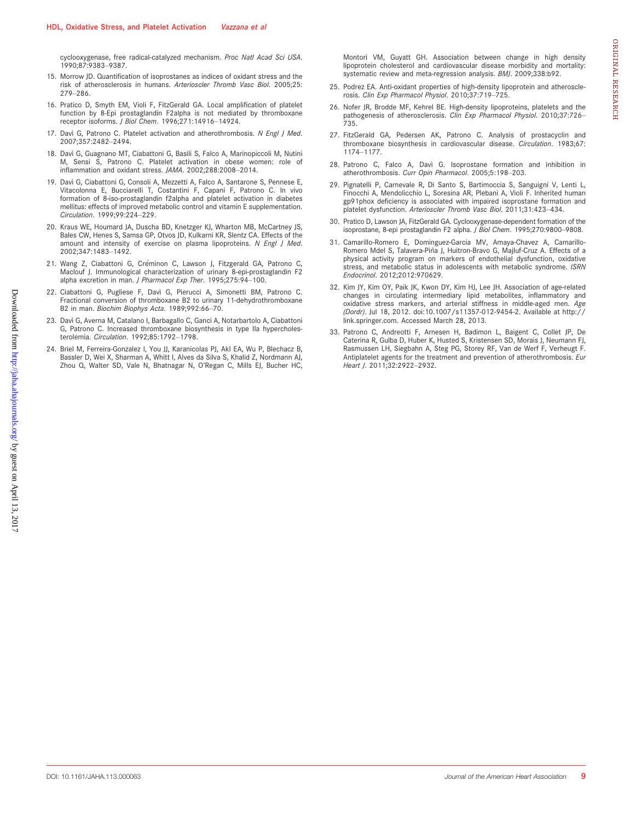cyclooxygenase, free radical-catalyzed mechanism. Proc Natl Acad Sci USA. 1990;87:9383–9387.

- 15. Morrow JD. Quantification of isoprostanes as indices of oxidant stress and the risk of atherosclerosis in humans. Arterioscler Thromb Vasc Biol. 2005;25: 279–286.
- 16. Pratico D, Smyth EM, Violi F, FitzGerald GA. Local amplification of platelet function by 8-Epi prostaglandin F2alpha is not mediated by thromboxane receptor isoforms. J Biol Chem. 1996;271:14916–14924.
- 17. Davì G, Patrono C. Platelet activation and atherothrombosis. N Engl J Med. 2007;357:2482–2494.
- 18. Davì G, Guagnano MT, Ciabattoni G, Basili S, Falco A, Marinopiccoli M, Nutini M, Sensi S, Patrono C. Platelet activation in obese women: role of inflammation and oxidant stress. JAMA. 2002;288:2008–2014.
- 19. Davì G, Ciabattoni G, Consoli A, Mezzetti A, Falco A, Santarone S, Pennese E, Vitacolonna E, Bucciarelli T, Costantini F, Capani F, Patrono C. In vivo formation of 8-iso-prostaglandin f2alpha and platelet activation in diabetes mellitus: effects of improved metabolic control and vitamin E supplementation. Circulation. 1999;99:224–229.
- 20. Kraus WE, Houmard JA, Duscha BD, Knetzger KJ, Wharton MB, McCartney JS, Bales CW, Henes S, Samsa GP, Otvos JD, Kulkarni KR, Slentz CA. Effects of the amount and intensity of exercise on plasma lipoproteins. N Engl J Med. 2002;347:1483–1492.
- 21. Wang Z, Ciabattoni G, Creminon C, Lawson J, Fitzgerald GA, Patrono C, Maclouf J. Immunological characterization of urinary 8-epi-prostaglandin F2 alpha excretion in man. J Pharmacol Exp Ther. 1995;275:94–100.
- 22. Ciabattoni G, Pugliese F, Davì G, Pierucci A, Simonetti BM, Patrono C. Fractional conversion of thromboxane B2 to urinary 11-dehydrothromboxane B2 in man. Biochim Biophys Acta. 1989;992:66–70.
- 23. Davì G, Averna M, Catalano I, Barbagallo C, Ganci A, Notarbartolo A, Ciabattoni G, Patrono C. Increased thromboxane biosynthesis in type IIa hypercholesterolemia. Circulation. 1992;85:1792–1798.
- 24. Briel M, Ferreira-Gonzalez I, You JJ, Karanicolas PJ, Akl EA, Wu P, Blechacz B, Bassler D, Wei X, Sharman A, Whitt I, Alves da Silva S, Khalid Z, Nordmann AJ, Zhou Q, Walter SD, Vale N, Bhatnagar N, O'Regan C, Mills EJ, Bucher HC,

Montori VM, Guyatt GH. Association between change in high density lipoprotein cholesterol and cardiovascular disease morbidity and mortality: systematic review and meta-regression analysis. BMJ. 2009;338:b92.

- 25. Podrez EA. Anti-oxidant properties of high-density lipoprotein and atherosclerosis. Clin Exp Pharmacol Physiol. 2010;37:719–725.
- 26. Nofer JR, Brodde MF, Kehrel BE. High-density lipoproteins, platelets and the pathogenesis of atherosclerosis. Clin Exp Pharmacol Physiol. 2010;37:726– 735.
- 27. FitzGerald GA, Pedersen AK, Patrono C. Analysis of prostacyclin and thromboxane biosynthesis in cardiovascular disease. Circulation. 1983;67: 1174–1177.
- 28. Patrono C, Falco A, Davì G. Isoprostane formation and inhibition in atherothrombosis. Curr Opin Pharmacol. 2005;5:198–203.
- 29. Pignatelli P, Carnevale R, Di Santo S, Bartimoccia S, Sanguigni V, Lenti L, Finocchi A, Mendolicchio L, Soresina AR, Plebani A, Violi F. Inherited human gp91phox deficiency is associated with impaired isoprostane formation and platelet dysfunction. Arterioscler Thromb Vasc Biol. 2011;31:423–434.
- 30. Pratico D, Lawson JA, FitzGerald GA. Cyclooxygenase-dependent formation of the isoprostane, 8-epi prostaglandin F2 alpha. J Biol Chem. 1995;270:9800–9808.
- 31. Camarillo-Romero E, Dominguez-Garcia MV, Amaya-Chavez A, Camarillo-Romero Mdel S, Talavera-Piña J, Huitron-Bravo G, Majluf-Cruz A. Effects of a physical activity program on markers of endothelial dysfunction, oxidative stress, and metabolic status in adolescents with metabolic syndrome. ISRN Endocrinol. 2012;2012:970629.
- 32. Kim JY, Kim OY, Paik JK, Kwon DY, Kim HJ, Lee JH. Association of age-related changes in circulating intermediary lipid metabolites, inflammatory and oxidative stress markers, and arterial stiffness in middle-aged men. Age (Dordr). Jul 18, 2012. doi:10.1007/s11357-012-9454-2. Available at http:// link.springer.com. Accessed March 28, 2013.
- 33. Patrono C, Andreotti F, Arnesen H, Badimon L, Baigent C, Collet JP, De Caterina R, Gulba D, Huber K, Husted S, Kristensen SD, Morais J, Neumann FJ, Rasmussen LH, Siegbahn A, Steg PG, Storey RF, Van de Werf F, Verheugt F. Antiplatelet agents for the treatment and prevention of atherothrombosis. Eur Heart J. 2011;32:2922–2932.